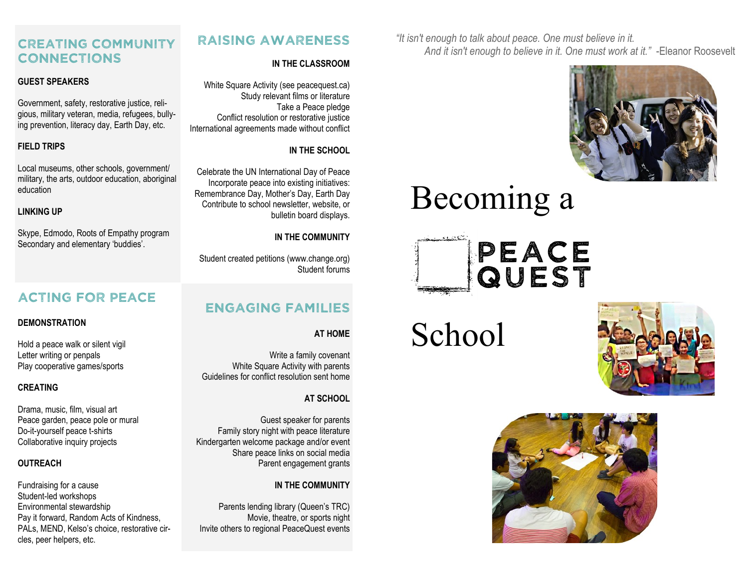*"It isn't enough to talk about peace. One must believe in it. And it isn't enough to believe in it. One must work at it."* -Eleanor Roosevelt



# Becoming a



School





# **RAISING AWARENESS**

#### **IN THE CLASSROOM**

White Square Activity (see peacequest.ca) Study relevant films or literature Take a Peace pledge Conflict resolution or restorative justice International agreements made without conflict

#### **IN THE SCHOOL**

Celebrate the UN International Day of Peace Incorporate peace into existing initiatives: Remembrance Day, Mother's Day, Earth Day Contribute to school newsletter, website, or bulletin board displays.

#### **IN THE COMMUNITY**

Student created petitions (www.change.org) Student forums

# **ENGAGING FAMILIES**

**AT HOME**

Write a family covenant White Square Activity with parents Guidelines for conflict resolution sent home

## **AT SCHOOL**

Guest speaker for parents Family story night with peace literature Kindergarten welcome package and/or event Share peace links on social media Parent engagement grants

## **IN THE COMMUNITY**

Parents lending library (Queen's TRC) Movie, theatre, or sports night Invite others to regional PeaceQuest events

# **CREATING COMMUNITY CONNECTIONS**

### **GUEST SPEAKERS**

Government, safety, restorative justice, religious, military veteran, media, refugees, bullying prevention, literacy day, Earth Day, etc.

## **FIELD TRIPS**

Local museums, other schools, government/ military, the arts, outdoor education, aboriginal education

#### **LINKING UP**

Skype, Edmodo, Roots of Empathy program Secondary and elementary 'buddies'.

# **ACTING FOR PEACE**

#### **DEMONSTRATION**

Hold a peace walk or silent vigil Letter writing or penpals Play cooperative games/sports

#### **CREATING**

Drama, music, film, visual art Peace garden, peace pole or mural Do-it-yourself peace t-shirts Collaborative inquiry projects

#### **OUTREACH**

Fundraising for a cause Student-led workshops Environmental stewardship Pay it forward, Random Acts of Kindness, PALs, MEND, Kelso's choice, restorative circles, peer helpers, etc.